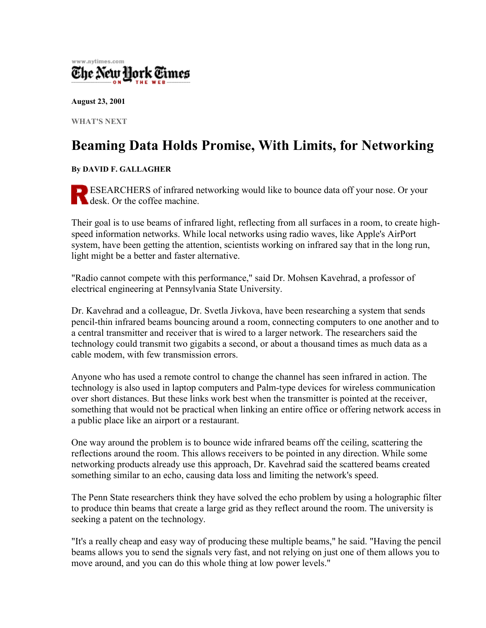

**August 23, 2001**

**WHAT'S NEXT**

## **Beaming Data Holds Promise, With Limits, for Networking**

## **By DAVID F. GALLAGHER**

**ESEARCHERS** of infrared networking would like to bounce data off your nose. Or your desk. Or the coffee machine.

Their goal is to use beams of infrared light, reflecting from all surfaces in a room, to create highspeed information networks. While local networks using radio waves, like Apple's AirPort system, have been getting the attention, scientists working on infrared say that in the long run, light might be a better and faster alternative.

"Radio cannot compete with this performance," said Dr. Mohsen Kavehrad, a professor of electrical engineering at Pennsylvania State University.

Dr. Kavehrad and a colleague, Dr. Svetla Jivkova, have been researching a system that sends pencil-thin infrared beams bouncing around a room, connecting computers to one another and to a central transmitter and receiver that is wired to a larger network. The researchers said the technology could transmit two gigabits a second, or about a thousand times as much data as a cable modem, with few transmission errors.

Anyone who has used a remote control to change the channel has seen infrared in action. The technology is also used in laptop computers and Palm-type devices for wireless communication over short distances. But these links work best when the transmitter is pointed at the receiver, something that would not be practical when linking an entire office or offering network access in a public place like an airport or a restaurant.

One way around the problem is to bounce wide infrared beams off the ceiling, scattering the reflections around the room. This allows receivers to be pointed in any direction. While some networking products already use this approach, Dr. Kavehrad said the scattered beams created something similar to an echo, causing data loss and limiting the network's speed.

The Penn State researchers think they have solved the echo problem by using a holographic filter to produce thin beams that create a large grid as they reflect around the room. The university is seeking a patent on the technology.

"It's a really cheap and easy way of producing these multiple beams," he said. "Having the pencil beams allows you to send the signals very fast, and not relying on just one of them allows you to move around, and you can do this whole thing at low power levels."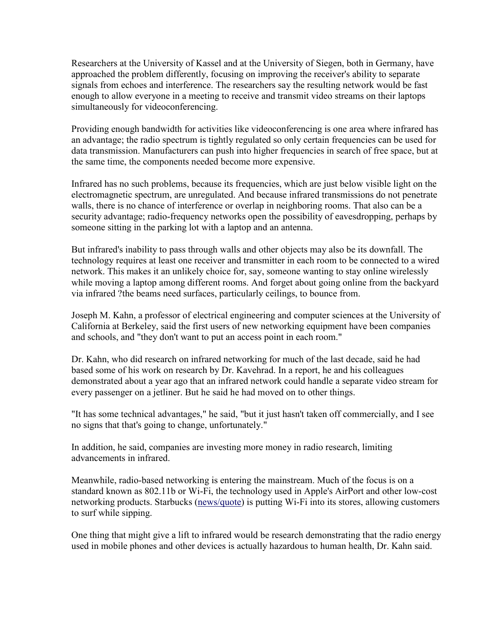Researchers at the University of Kassel and at the University of Siegen, both in Germany, have approached the problem differently, focusing on improving the receiver's ability to separate signals from echoes and interference. The researchers say the resulting network would be fast enough to allow everyone in a meeting to receive and transmit video streams on their laptops simultaneously for videoconferencing.

Providing enough bandwidth for activities like videoconferencing is one area where infrared has an advantage; the radio spectrum is tightly regulated so only certain frequencies can be used for data transmission. Manufacturers can push into higher frequencies in search of free space, but at the same time, the components needed become more expensive.

Infrared has no such problems, because its frequencies, which are just below visible light on the electromagnetic spectrum, are unregulated. And because infrared transmissions do not penetrate walls, there is no chance of interference or overlap in neighboring rooms. That also can be a security advantage; radio-frequency networks open the possibility of eavesdropping, perhaps by someone sitting in the parking lot with a laptop and an antenna.

But infrared's inability to pass through walls and other objects may also be its downfall. The technology requires at least one receiver and transmitter in each room to be connected to a wired network. This makes it an unlikely choice for, say, someone wanting to stay online wirelessly while moving a laptop among different rooms. And forget about going online from the backyard via infrared ?the beams need surfaces, particularly ceilings, to bounce from.

Joseph M. Kahn, a professor of electrical engineering and computer sciences at the University of California at Berkeley, said the first users of new networking equipment have been companies and schools, and "they don't want to put an access point in each room."

Dr. Kahn, who did research on infrared networking for much of the last decade, said he had based some of his work on research by Dr. Kavehrad. In a report, he and his colleagues demonstrated about a year ago that an infrared network could handle a separate video stream for every passenger on a jetliner. But he said he had moved on to other things.

"It has some technical advantages," he said, "but it just hasn't taken off commercially, and I see no signs that that's going to change, unfortunately."

In addition, he said, companies are investing more money in radio research, limiting advancements in infrared.

Meanwhile, radio-based networking is entering the mainstream. Much of the focus is on a standard known as 802.11b or Wi-Fi, the technology used in Apple's AirPort and other low-cost networking products. Starbucks [\(news/quote\)](http://www.nytimes.com/redirect/marketwatch/redirect.ctx?MW=http://custom.marketwatch.com/custom/nyt-com/html-companyprofile.asp&symb=SBUX) is putting Wi-Fi into its stores, allowing customers to surf while sipping.

One thing that might give a lift to infrared would be research demonstrating that the radio energy used in mobile phones and other devices is actually hazardous to human health, Dr. Kahn said.